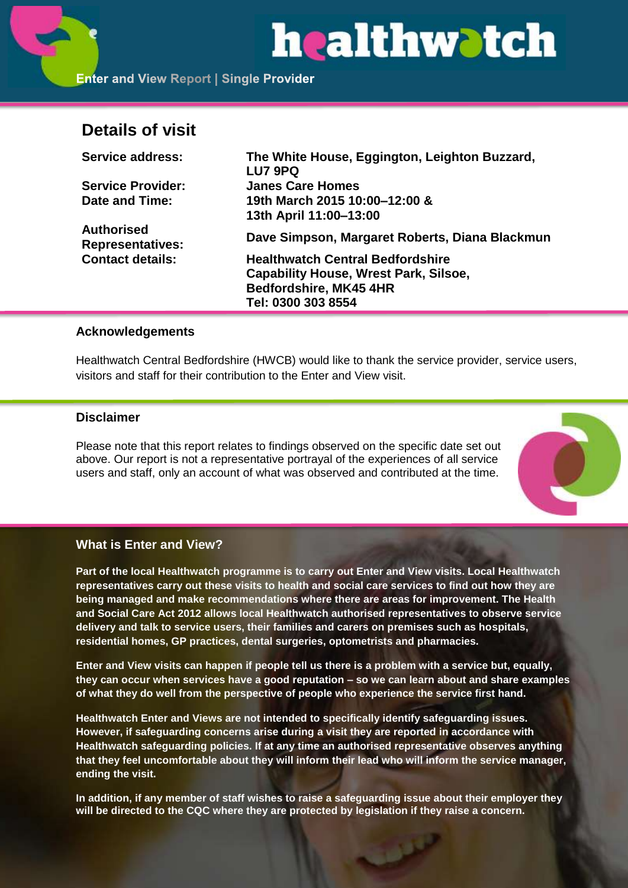

## **Details of visit**

| <b>Service address:</b>                      | The White House, Eggington, Leighton Buzzard,  |
|----------------------------------------------|------------------------------------------------|
|                                              | LU7 9PQ                                        |
| <b>Service Provider:</b>                     | <b>Janes Care Homes</b>                        |
| Date and Time:                               | 19th March 2015 10:00-12:00 &                  |
|                                              | 13th April 11:00-13:00                         |
| <b>Authorised</b><br><b>Representatives:</b> | Dave Simpson, Margaret Roberts, Diana Blackmun |
| <b>Contact details:</b>                      | <b>Healthwatch Central Bedfordshire</b>        |
|                                              | <b>Capability House, Wrest Park, Silsoe,</b>   |
|                                              | Bedfordshire, MK45 4HR                         |
|                                              | Tel: 0300 303 8554                             |

## **Acknowledgements**

Healthwatch Central Bedfordshire (HWCB) would like to thank the service provider, service users, visitors and staff for their contribution to the Enter and View visit.

## **Disclaimer**

Please note that this report relates to findings observed on the specific date set out above. Our report is not a representative portrayal of the experiences of all service users and staff, only an account of what was observed and contributed at the time.



## **What is Enter and View?**

**Part of the local Healthwatch programme is to carry out Enter and View visits. Local Healthwatch representatives carry out these visits to health and social care services to find out how they are being managed and make recommendations where there are areas for improvement. The Health and Social Care Act 2012 allows local Healthwatch authorised representatives to observe service delivery and talk to service users, their families and carers on premises such as hospitals, residential homes, GP practices, dental surgeries, optometrists and pharmacies.** 

**Enter and View visits can happen if people tell us there is a problem with a service but, equally, they can occur when services have a good reputation – so we can learn about and share examples of what they do well from the perspective of people who experience the service first hand.**

**Healthwatch Enter and Views are not intended to specifically identify safeguarding issues. However, if safeguarding concerns arise during a visit they are reported in accordance with Healthwatch safeguarding policies. If at any time an authorised representative observes anything that they feel uncomfortable about they will inform their lead who will inform the service manager, ending the visit.** 

**In addition, if any member of staff wishes to raise a safeguarding issue about their employer they will be directed to the CQC where they are protected by legislation if they raise a concern.**

الألول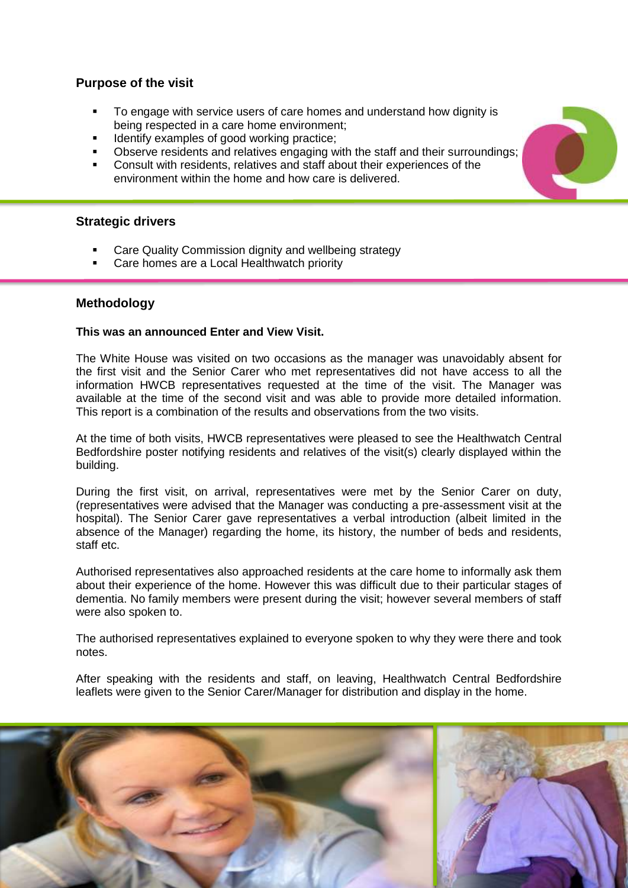## **Purpose of the visit**

- To engage with service users of care homes and understand how dignity is being respected in a care home environment;
- **IDENTIFY EXAMPLES OF GOOD WORKING PRACTICE:**
- Observe residents and relatives engaging with the staff and their surroundings;
- Consult with residents, relatives and staff about their experiences of the environment within the home and how care is delivered.

## **Strategic drivers**

- Care Quality Commission dignity and wellbeing strategy
- Care homes are a Local Healthwatch priority

#### **Methodology**

#### **This was an announced Enter and View Visit.**

The White House was visited on two occasions as the manager was unavoidably absent for the first visit and the Senior Carer who met representatives did not have access to all the information HWCB representatives requested at the time of the visit. The Manager was available at the time of the second visit and was able to provide more detailed information. This report is a combination of the results and observations from the two visits.

At the time of both visits, HWCB representatives were pleased to see the Healthwatch Central Bedfordshire poster notifying residents and relatives of the visit(s) clearly displayed within the building.

During the first visit, on arrival, representatives were met by the Senior Carer on duty, (representatives were advised that the Manager was conducting a pre-assessment visit at the hospital). The Senior Carer gave representatives a verbal introduction (albeit limited in the absence of the Manager) regarding the home, its history, the number of beds and residents, staff etc.

Authorised representatives also approached residents at the care home to informally ask them about their experience of the home. However this was difficult due to their particular stages of dementia. No family members were present during the visit; however several members of staff were also spoken to.

The authorised representatives explained to everyone spoken to why they were there and took notes.

After speaking with the residents and staff, on leaving, Healthwatch Central Bedfordshire leaflets were given to the Senior Carer/Manager for distribution and display in the home.

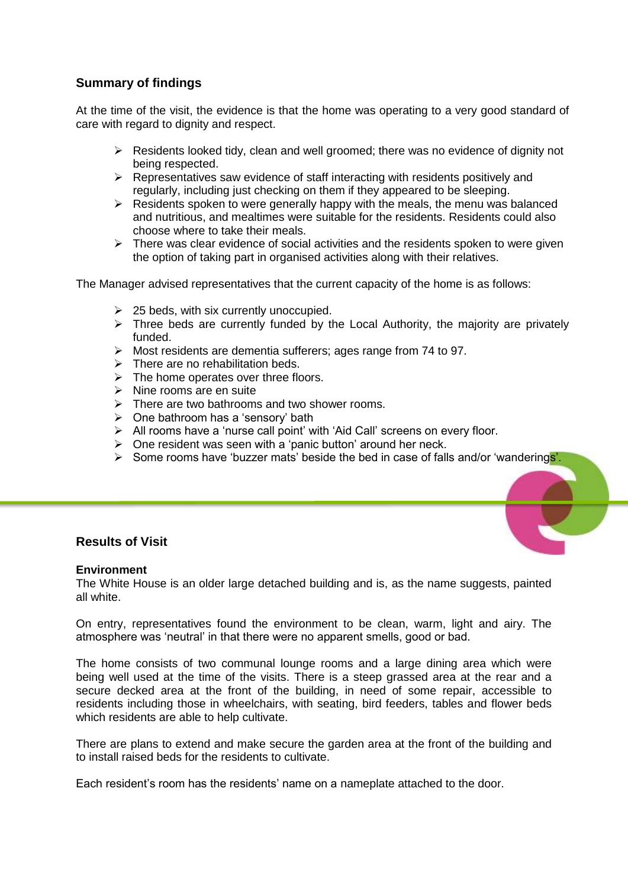## **Summary of findings**

At the time of the visit, the evidence is that the home was operating to a very good standard of care with regard to dignity and respect.

- $\triangleright$  Residents looked tidy, clean and well groomed; there was no evidence of dignity not being respected.
- $\triangleright$  Representatives saw evidence of staff interacting with residents positively and regularly, including just checking on them if they appeared to be sleeping.
- $\triangleright$  Residents spoken to were generally happy with the meals, the menu was balanced and nutritious, and mealtimes were suitable for the residents. Residents could also choose where to take their meals.
- $\triangleright$  There was clear evidence of social activities and the residents spoken to were given the option of taking part in organised activities along with their relatives.

The Manager advised representatives that the current capacity of the home is as follows:

- $\geq$  25 beds, with six currently unoccupied.
- $\triangleright$  Three beds are currently funded by the Local Authority, the majority are privately funded.
- Most residents are dementia sufferers; ages range from 74 to 97.
- $\triangleright$  There are no rehabilitation beds.
- $\triangleright$  The home operates over three floors.
- $\triangleright$  Nine rooms are en suite
- $\triangleright$  There are two bathrooms and two shower rooms.
- $\triangleright$  One bathroom has a 'sensory' bath
- > All rooms have a 'nurse call point' with 'Aid Call' screens on every floor.
- $\triangleright$  One resident was seen with a 'panic button' around her neck.
- $\triangleright$  Some rooms have 'buzzer mats' beside the bed in case of falls and/or 'wanderings'.

## **Results of Visit**

#### **Environment**

The White House is an older large detached building and is, as the name suggests, painted all white.

On entry, representatives found the environment to be clean, warm, light and airy. The atmosphere was 'neutral' in that there were no apparent smells, good or bad.

The home consists of two communal lounge rooms and a large dining area which were being well used at the time of the visits. There is a steep grassed area at the rear and a secure decked area at the front of the building, in need of some repair, accessible to residents including those in wheelchairs, with seating, bird feeders, tables and flower beds which residents are able to help cultivate.

There are plans to extend and make secure the garden area at the front of the building and to install raised beds for the residents to cultivate.

Each resident's room has the residents' name on a nameplate attached to the door.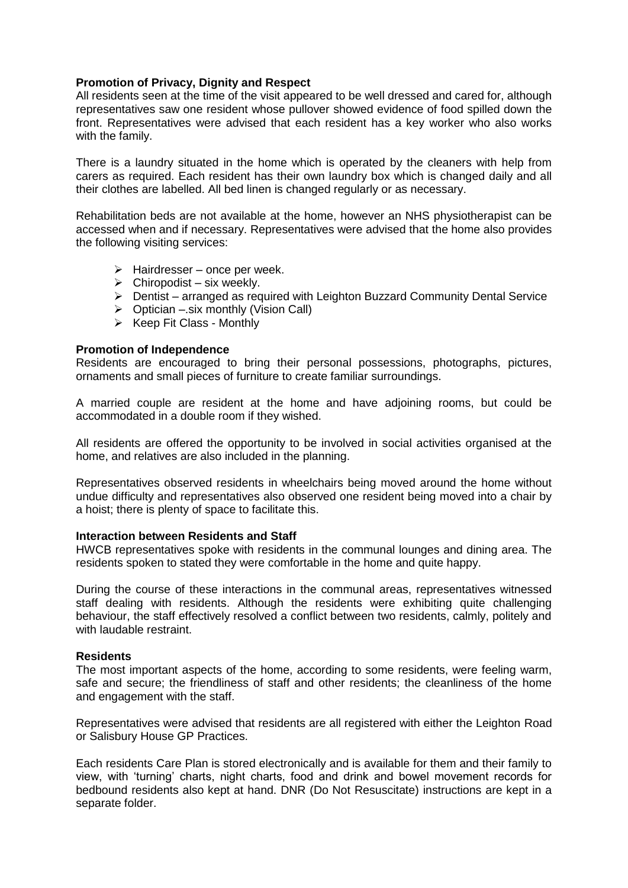#### **Promotion of Privacy, Dignity and Respect**

All residents seen at the time of the visit appeared to be well dressed and cared for, although representatives saw one resident whose pullover showed evidence of food spilled down the front. Representatives were advised that each resident has a key worker who also works with the family.

There is a laundry situated in the home which is operated by the cleaners with help from carers as required. Each resident has their own laundry box which is changed daily and all their clothes are labelled. All bed linen is changed regularly or as necessary.

Rehabilitation beds are not available at the home, however an NHS physiotherapist can be accessed when and if necessary. Representatives were advised that the home also provides the following visiting services:

- $\triangleright$  Hairdresser once per week.
- $\triangleright$  Chiropodist six weekly.
- Dentist arranged as required with Leighton Buzzard Community Dental Service
- $\triangleright$  Optician –.six monthly (Vision Call)
- $\triangleright$  Keep Fit Class Monthly

#### **Promotion of Independence**

Residents are encouraged to bring their personal possessions, photographs, pictures, ornaments and small pieces of furniture to create familiar surroundings.

A married couple are resident at the home and have adjoining rooms, but could be accommodated in a double room if they wished.

All residents are offered the opportunity to be involved in social activities organised at the home, and relatives are also included in the planning.

Representatives observed residents in wheelchairs being moved around the home without undue difficulty and representatives also observed one resident being moved into a chair by a hoist; there is plenty of space to facilitate this.

#### **Interaction between Residents and Staff**

HWCB representatives spoke with residents in the communal lounges and dining area. The residents spoken to stated they were comfortable in the home and quite happy.

During the course of these interactions in the communal areas, representatives witnessed staff dealing with residents. Although the residents were exhibiting quite challenging behaviour, the staff effectively resolved a conflict between two residents, calmly, politely and with laudable restraint.

#### **Residents**

The most important aspects of the home, according to some residents, were feeling warm, safe and secure; the friendliness of staff and other residents; the cleanliness of the home and engagement with the staff.

Representatives were advised that residents are all registered with either the Leighton Road or Salisbury House GP Practices.

Each residents Care Plan is stored electronically and is available for them and their family to view, with 'turning' charts, night charts, food and drink and bowel movement records for bedbound residents also kept at hand. DNR (Do Not Resuscitate) instructions are kept in a separate folder.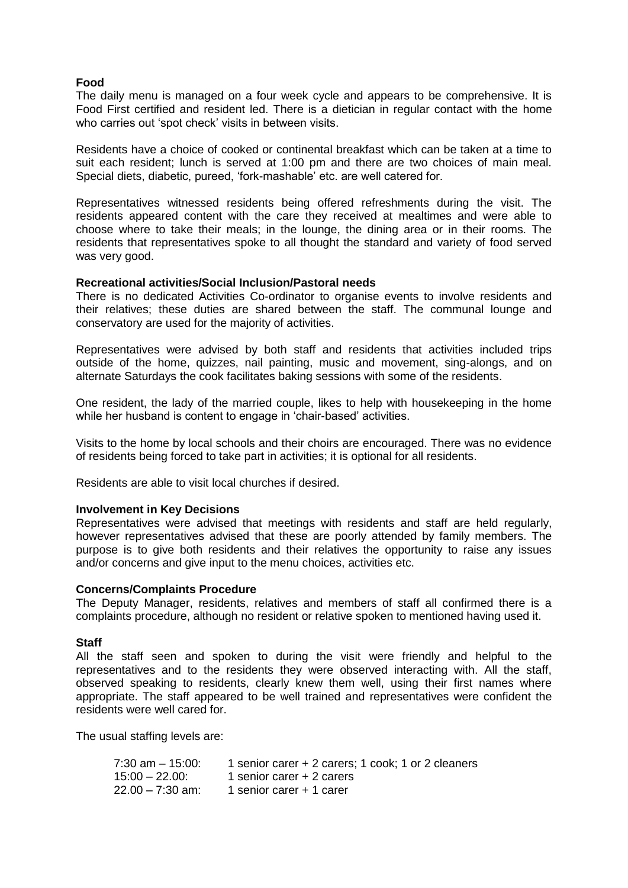#### **Food**

The daily menu is managed on a four week cycle and appears to be comprehensive. It is Food First certified and resident led. There is a dietician in regular contact with the home who carries out 'spot check' visits in between visits.

Residents have a choice of cooked or continental breakfast which can be taken at a time to suit each resident; lunch is served at 1:00 pm and there are two choices of main meal. Special diets, diabetic, pureed, 'fork-mashable' etc. are well catered for.

Representatives witnessed residents being offered refreshments during the visit. The residents appeared content with the care they received at mealtimes and were able to choose where to take their meals; in the lounge, the dining area or in their rooms. The residents that representatives spoke to all thought the standard and variety of food served was very good.

#### **Recreational activities/Social Inclusion/Pastoral needs**

There is no dedicated Activities Co-ordinator to organise events to involve residents and their relatives; these duties are shared between the staff. The communal lounge and conservatory are used for the majority of activities.

Representatives were advised by both staff and residents that activities included trips outside of the home, quizzes, nail painting, music and movement, sing-alongs, and on alternate Saturdays the cook facilitates baking sessions with some of the residents.

One resident, the lady of the married couple, likes to help with housekeeping in the home while her husband is content to engage in 'chair-based' activities.

Visits to the home by local schools and their choirs are encouraged. There was no evidence of residents being forced to take part in activities; it is optional for all residents.

Residents are able to visit local churches if desired.

#### **Involvement in Key Decisions**

Representatives were advised that meetings with residents and staff are held regularly, however representatives advised that these are poorly attended by family members. The purpose is to give both residents and their relatives the opportunity to raise any issues and/or concerns and give input to the menu choices, activities etc.

#### **Concerns/Complaints Procedure**

The Deputy Manager, residents, relatives and members of staff all confirmed there is a complaints procedure, although no resident or relative spoken to mentioned having used it.

#### **Staff**

All the staff seen and spoken to during the visit were friendly and helpful to the representatives and to the residents they were observed interacting with. All the staff, observed speaking to residents, clearly knew them well, using their first names where appropriate. The staff appeared to be well trained and representatives were confident the residents were well cared for.

The usual staffing levels are:

| 7:30 am – 15:00: | 1 senior carer + 2 carers; 1 cook; 1 or 2 cleaners |
|------------------|----------------------------------------------------|
| 15:00 – 22.00:   | 1 senior carer + 2 carers                          |
| 22.00 – 7:30 am: | 1 senior carer + 1 carer                           |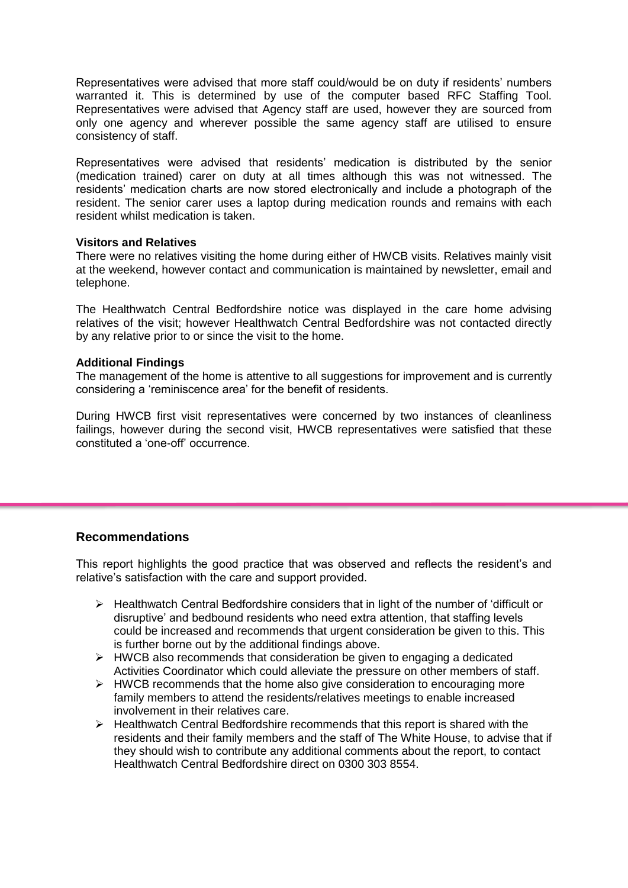Representatives were advised that more staff could/would be on duty if residents' numbers warranted it. This is determined by use of the computer based RFC Staffing Tool. Representatives were advised that Agency staff are used, however they are sourced from only one agency and wherever possible the same agency staff are utilised to ensure consistency of staff.

Representatives were advised that residents' medication is distributed by the senior (medication trained) carer on duty at all times although this was not witnessed. The residents' medication charts are now stored electronically and include a photograph of the resident. The senior carer uses a laptop during medication rounds and remains with each resident whilst medication is taken.

#### **Visitors and Relatives**

There were no relatives visiting the home during either of HWCB visits. Relatives mainly visit at the weekend, however contact and communication is maintained by newsletter, email and telephone.

The Healthwatch Central Bedfordshire notice was displayed in the care home advising relatives of the visit; however Healthwatch Central Bedfordshire was not contacted directly by any relative prior to or since the visit to the home.

#### **Additional Findings**

The management of the home is attentive to all suggestions for improvement and is currently considering a 'reminiscence area' for the benefit of residents.

During HWCB first visit representatives were concerned by two instances of cleanliness failings, however during the second visit, HWCB representatives were satisfied that these constituted a 'one-off' occurrence.

## **Recommendations**

This report highlights the good practice that was observed and reflects the resident's and relative's satisfaction with the care and support provided.

- $\triangleright$  Healthwatch Central Bedfordshire considers that in light of the number of 'difficult or disruptive' and bedbound residents who need extra attention, that staffing levels could be increased and recommends that urgent consideration be given to this. This is further borne out by the additional findings above.
- $\triangleright$  HWCB also recommends that consideration be given to engaging a dedicated Activities Coordinator which could alleviate the pressure on other members of staff.
- $\triangleright$  HWCB recommends that the home also give consideration to encouraging more family members to attend the residents/relatives meetings to enable increased involvement in their relatives care.
- $\triangleright$  Healthwatch Central Bedfordshire recommends that this report is shared with the residents and their family members and the staff of The White House, to advise that if they should wish to contribute any additional comments about the report, to contact Healthwatch Central Bedfordshire direct on 0300 303 8554.